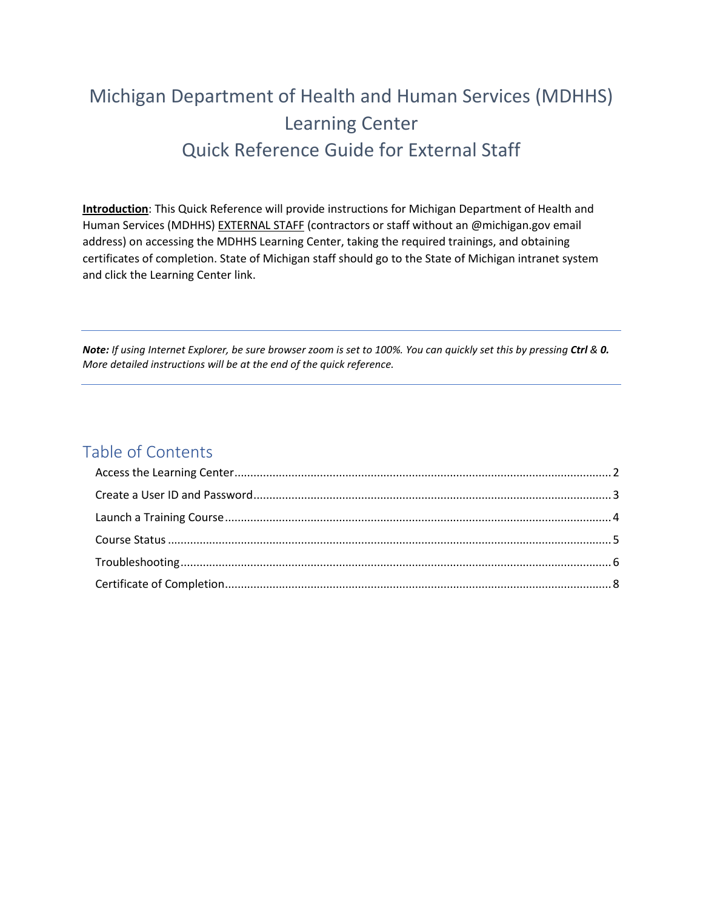# Michigan Department of Health and Human Services (MDHHS) Learning Center Quick Reference Guide for External Staff

**Introduction**: This Quick Reference will provide instructions for Michigan Department of Health and Human Services (MDHHS) EXTERNAL STAFF (contractors or staff without an @michigan.gov email address) on accessing the MDHHS Learning Center, taking the required trainings, and obtaining certificates of completion. State of Michigan staff should go to the State of Michigan intranet system and click the Learning Center link.

*Note: If using Internet Explorer, be sure browser zoom is set to 100%. You can quickly set this by pressing Ctrl & 0. More detailed instructions will be at the end of the quick reference.*

### Table of Contents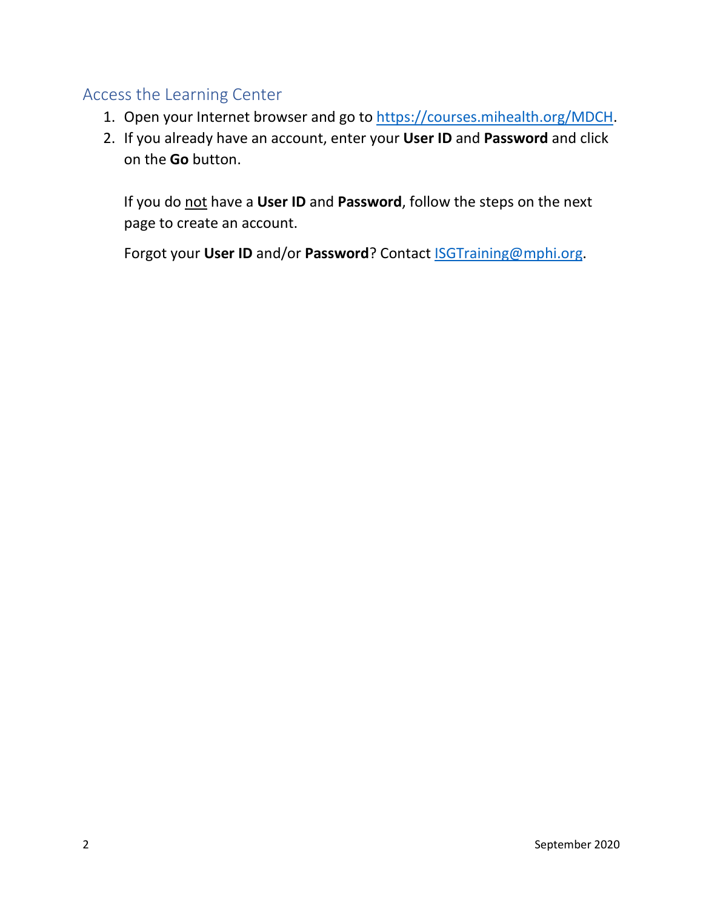## <span id="page-1-0"></span>Access the Learning Center

- 1. Open your Internet browser and go to [https://courses.mihealth.org/MDCH.](https://courses.mihealth.org/MDCH)
- 2. If you already have an account, enter your **User ID** and **Password** and click on the **Go** button.

If you do not have a **User ID** and **Password**, follow the steps on the next page to create an account.

Forgot your **User ID** and/or **Password**? Contact [ISGTraining@mphi.org.](mailto:ISGTraining@mphi.org)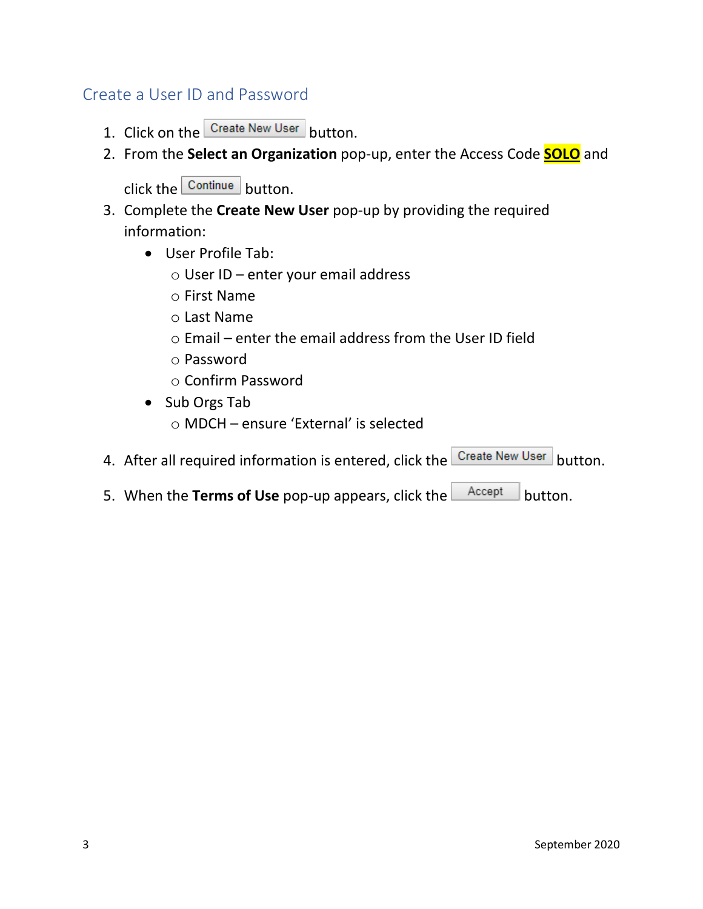### <span id="page-2-0"></span>Create a User ID and Password

- 1. Click on the Create New User button.
- 2. From the **Select an Organization** pop-up, enter the Access Code **SOLO** and

 $click$  the  $\frac{\text{Continue}}{\text{button}}$ .

- 3. Complete the **Create New User** pop-up by providing the required information:
	- User Profile Tab:
		- o User ID enter your email address
		- o First Name
		- o Last Name
		- o Email enter the email address from the User ID field
		- o Password
		- o Confirm Password
	- Sub Orgs Tab o MDCH – ensure 'External' is selected
- 4. After all required information is entered, click the **Create New User** button.
- 5. When the **Terms of Use** pop-up appears, click the  $\left\lfloor \frac{\text{Accept}}{\text{Bottom}} \right\rfloor$  button.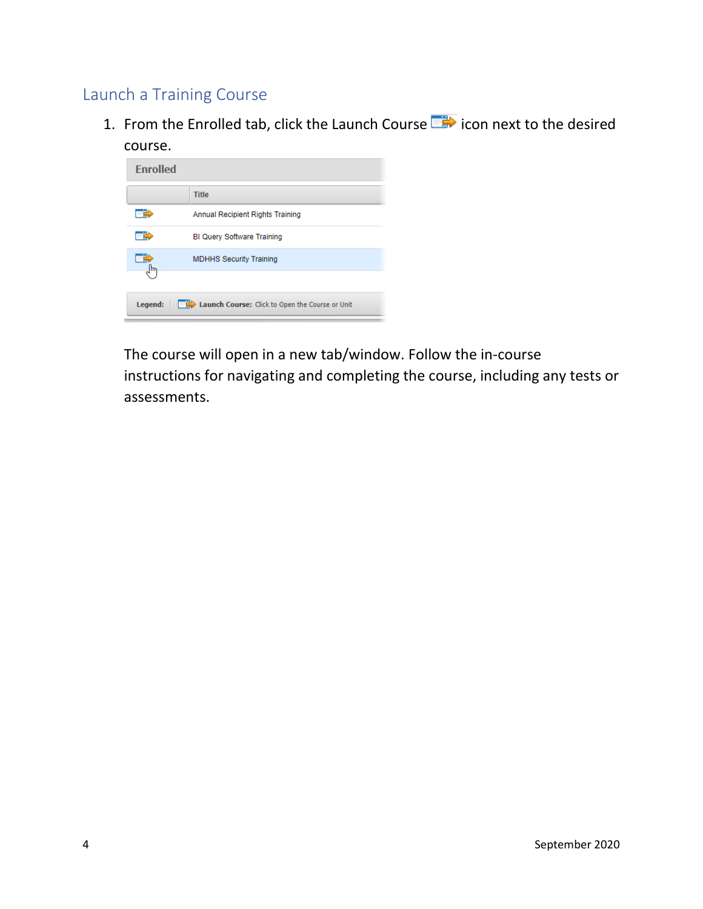# <span id="page-3-0"></span>Launch a Training Course

1. From the Enrolled tab, click the Launch Course  $\overline{\mathbb{R}}$  icon next to the desired course.

| <b>Enrolled</b>                                                                             |                                         |  |
|---------------------------------------------------------------------------------------------|-----------------------------------------|--|
|                                                                                             | Title                                   |  |
|                                                                                             | <b>Annual Recipient Rights Training</b> |  |
|                                                                                             | <b>BI Query Software Training</b>       |  |
|                                                                                             | <b>MDHHS Security Training</b>          |  |
|                                                                                             |                                         |  |
| <b>Legend:</b> $\boxed{\phantom{a}}$ <b>Launch Course:</b> Click to Open the Course or Unit |                                         |  |

The course will open in a new tab/window. Follow the in-course instructions for navigating and completing the course, including any tests or assessments.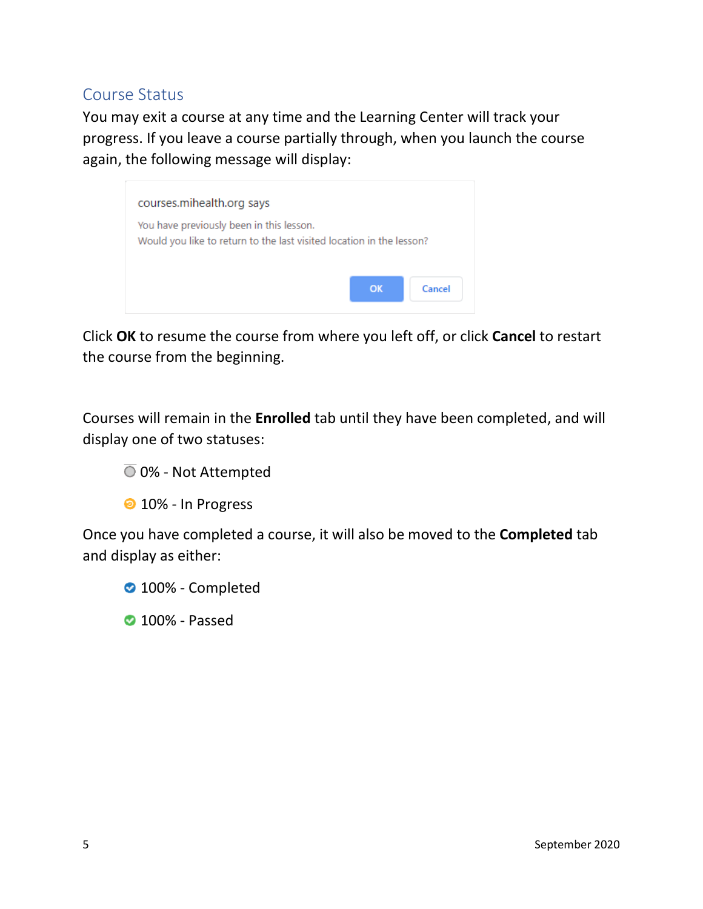### <span id="page-4-0"></span>Course Status

You may exit a course at any time and the Learning Center will track your progress. If you leave a course partially through, when you launch the course again, the following message will display:



Click **OK** to resume the course from where you left off, or click **Cancel** to restart the course from the beginning.

Courses will remain in the **Enrolled** tab until they have been completed, and will display one of two statuses:

### $\overline{O}$  0% - Not Attempted

<sup>2</sup> 10% - In Progress

Once you have completed a course, it will also be moved to the **Completed** tab and display as either:

**2** 100% - Completed

**2** 100% - Passed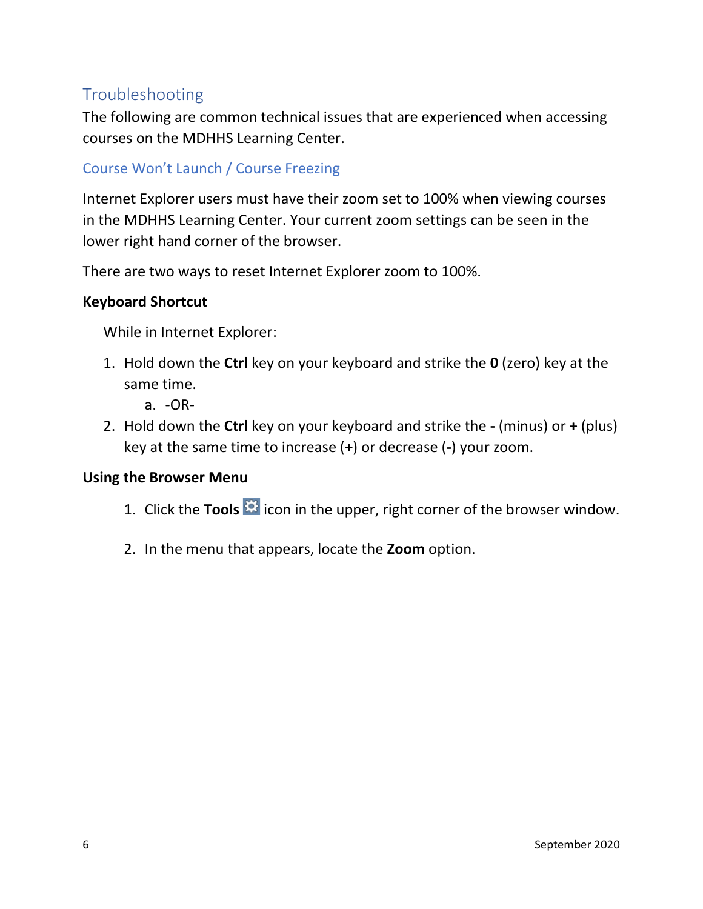# <span id="page-5-0"></span>Troubleshooting

The following are common technical issues that are experienced when accessing courses on the MDHHS Learning Center.

### Course Won't Launch / Course Freezing

Internet Explorer users must have their zoom set to 100% when viewing courses in the MDHHS Learning Center. Your current zoom settings can be seen in the lower right hand corner of the browser.

There are two ways to reset Internet Explorer zoom to 100%.

### **Keyboard Shortcut**

While in Internet Explorer:

- 1. Hold down the **Ctrl** key on your keyboard and strike the **0** (zero) key at the same time.
	- a. -OR-
- 2. Hold down the **Ctrl** key on your keyboard and strike the **-** (minus) or **+** (plus) key at the same time to increase (**+**) or decrease (**-**) your zoom.

#### **Using the Browser Menu**

- 1. Click the **Tools <b>is** icon in the upper, right corner of the browser window.
- 2. In the menu that appears, locate the **Zoom** option.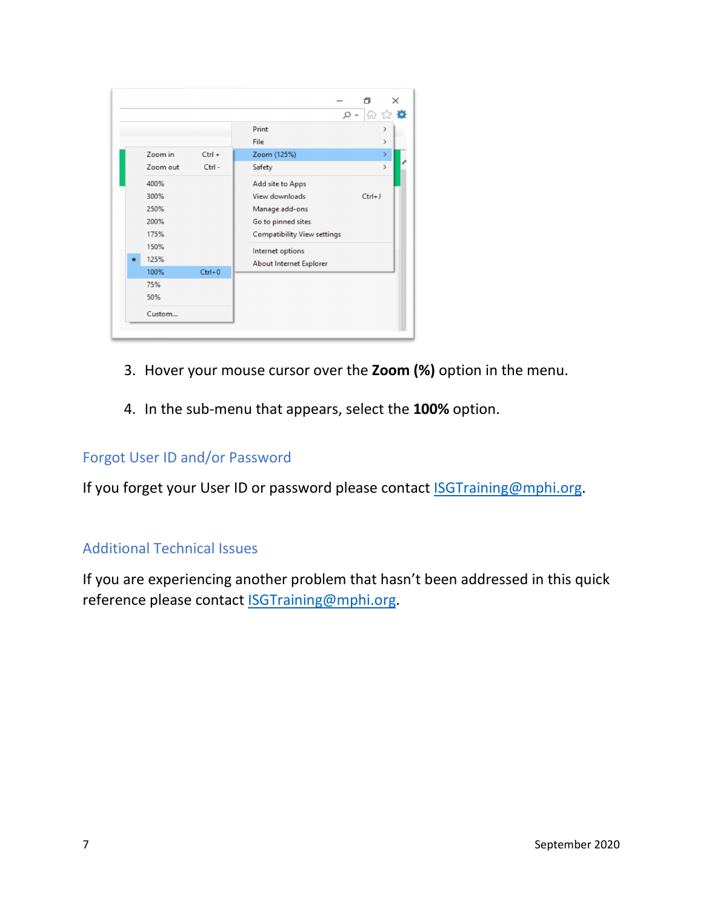

- 3. Hover your mouse cursor over the **Zoom (%)** option in the menu.
- 4. In the sub-menu that appears, select the **100%** option.

#### Forgot User ID and/or Password

If you forget your User ID or password please contact **ISGTraining@mphi.org**.

### Additional Technical Issues

If you are experiencing another problem that hasn't been addressed in this quick reference please contact **ISGTraining@mphi.org**.